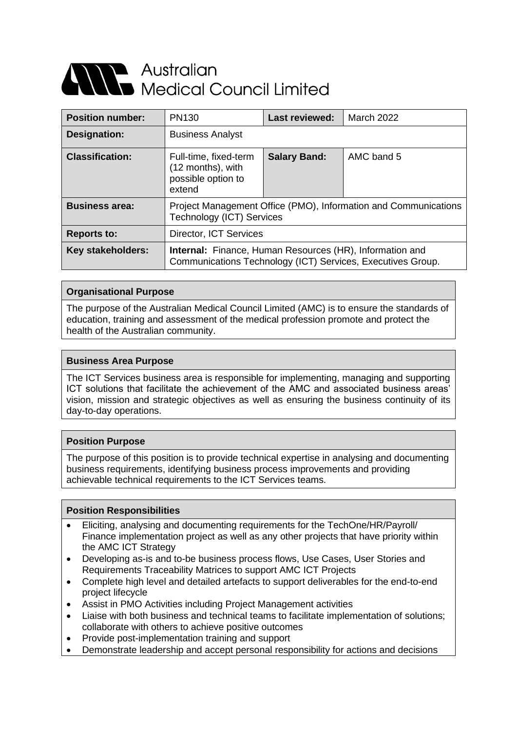# **Alle Australian<br>Alle Medical Council Limited**

| <b>Position number:</b> | <b>PN130</b>                                                                                                                   | <b>Last reviewed:</b> | <b>March 2022</b> |
|-------------------------|--------------------------------------------------------------------------------------------------------------------------------|-----------------------|-------------------|
| Designation:            | <b>Business Analyst</b>                                                                                                        |                       |                   |
| <b>Classification:</b>  | Full-time, fixed-term<br>(12 months), with<br>possible option to<br>extend                                                     | <b>Salary Band:</b>   | AMC band 5        |
| <b>Business area:</b>   | Project Management Office (PMO), Information and Communications<br><b>Technology (ICT) Services</b>                            |                       |                   |
| <b>Reports to:</b>      | Director, ICT Services                                                                                                         |                       |                   |
| Key stakeholders:       | <b>Internal:</b> Finance, Human Resources (HR), Information and<br>Communications Technology (ICT) Services, Executives Group. |                       |                   |

# **Organisational Purpose**

The purpose of the Australian Medical Council Limited (AMC) is to ensure the standards of education, training and assessment of the medical profession promote and protect the health of the Australian community.

# **Business Area Purpose**

The ICT Services business area is responsible for implementing, managing and supporting ICT solutions that facilitate the achievement of the AMC and associated business areas' vision, mission and strategic objectives as well as ensuring the business continuity of its day-to-day operations.

### **Position Purpose**

The purpose of this position is to provide technical expertise in analysing and documenting business requirements, identifying business process improvements and providing achievable technical requirements to the ICT Services teams.

#### **Position Responsibilities**

- Eliciting, analysing and documenting requirements for the TechOne/HR/Payroll/ Finance implementation project as well as any other projects that have priority within the AMC ICT Strategy
- Developing as-is and to-be business process flows, Use Cases, User Stories and Requirements Traceability Matrices to support AMC ICT Projects
- Complete high level and detailed artefacts to support deliverables for the end-to-end project lifecycle
- Assist in PMO Activities including Project Management activities
- Liaise with both business and technical teams to facilitate implementation of solutions; collaborate with others to achieve positive outcomes
- Provide post-implementation training and support
- Demonstrate leadership and accept personal responsibility for actions and decisions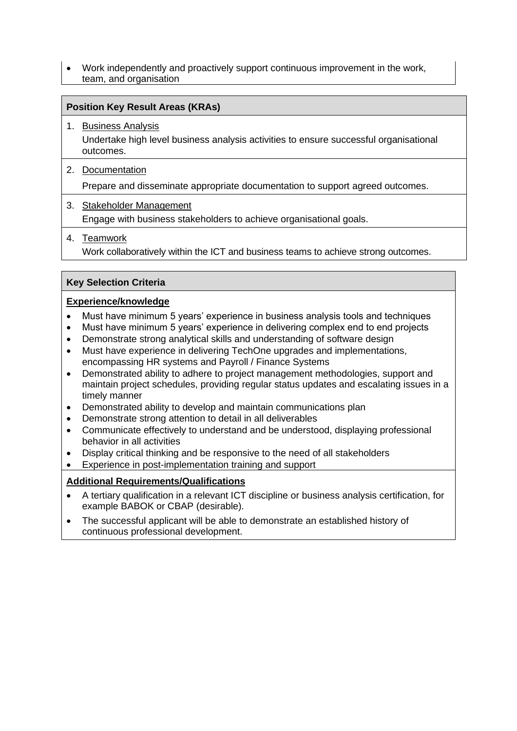• Work independently and proactively support continuous improvement in the work, team, and organisation

# **Position Key Result Areas (KRAs)**

1. Business Analysis Undertake high level business analysis activities to ensure successful organisational outcomes.

# 2. Documentation

Prepare and disseminate appropriate documentation to support agreed outcomes.

3. Stakeholder Management Engage with business stakeholders to achieve organisational goals.

# 4. Teamwork

Work collaboratively within the ICT and business teams to achieve strong outcomes.

# **Key Selection Criteria**

# **Experience/knowledge**

- Must have minimum 5 years' experience in business analysis tools and techniques
- Must have minimum 5 years' experience in delivering complex end to end projects
- Demonstrate strong analytical skills and understanding of software design
- Must have experience in delivering TechOne upgrades and implementations, encompassing HR systems and Payroll / Finance Systems
- Demonstrated ability to adhere to project management methodologies, support and maintain project schedules, providing regular status updates and escalating issues in a timely manner
- Demonstrated ability to develop and maintain communications plan
- Demonstrate strong attention to detail in all deliverables
- Communicate effectively to understand and be understood, displaying professional behavior in all activities
- Display critical thinking and be responsive to the need of all stakeholders
- Experience in post-implementation training and support

# **Additional Requirements/Qualifications**

- A tertiary qualification in a relevant ICT discipline or business analysis certification, for example BABOK or CBAP (desirable).
- The successful applicant will be able to demonstrate an established history of continuous professional development.